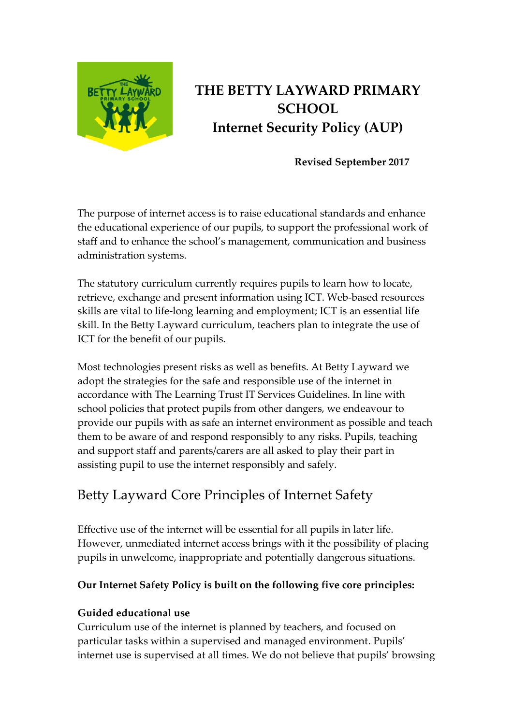

# **THE BETTY LAYWARD PRIMARY SCHOOL Internet Security Policy (AUP)**

**Revised September 2017**

The purpose of internet access is to raise educational standards and enhance the educational experience of our pupils, to support the professional work of staff and to enhance the school's management, communication and business administration systems.

The statutory curriculum currently requires pupils to learn how to locate, retrieve, exchange and present information using ICT. Web-based resources skills are vital to life-long learning and employment; ICT is an essential life skill. In the Betty Layward curriculum, teachers plan to integrate the use of ICT for the benefit of our pupils.

Most technologies present risks as well as benefits. At Betty Layward we adopt the strategies for the safe and responsible use of the internet in accordance with The Learning Trust IT Services Guidelines. In line with school policies that protect pupils from other dangers, we endeavour to provide our pupils with as safe an internet environment as possible and teach them to be aware of and respond responsibly to any risks. Pupils, teaching and support staff and parents/carers are all asked to play their part in assisting pupil to use the internet responsibly and safely.

# Betty Layward Core Principles of Internet Safety

Effective use of the internet will be essential for all pupils in later life. However, unmediated internet access brings with it the possibility of placing pupils in unwelcome, inappropriate and potentially dangerous situations.

#### **Our Internet Safety Policy is built on the following five core principles:**

#### **Guided educational use**

Curriculum use of the internet is planned by teachers, and focused on particular tasks within a supervised and managed environment. Pupils' internet use is supervised at all times. We do not believe that pupils' browsing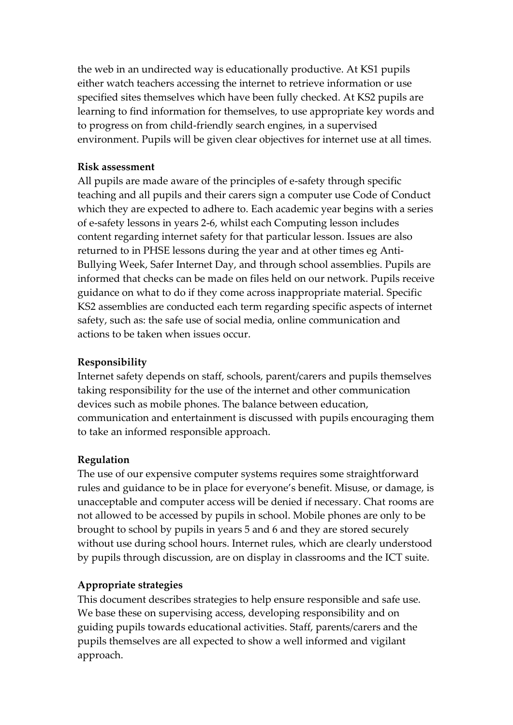the web in an undirected way is educationally productive. At KS1 pupils either watch teachers accessing the internet to retrieve information or use specified sites themselves which have been fully checked. At KS2 pupils are learning to find information for themselves, to use appropriate key words and to progress on from child-friendly search engines, in a supervised environment. Pupils will be given clear objectives for internet use at all times.

#### **Risk assessment**

All pupils are made aware of the principles of e-safety through specific teaching and all pupils and their carers sign a computer use Code of Conduct which they are expected to adhere to. Each academic year begins with a series of e-safety lessons in years 2-6, whilst each Computing lesson includes content regarding internet safety for that particular lesson. Issues are also returned to in PHSE lessons during the year and at other times eg Anti-Bullying Week, Safer Internet Day, and through school assemblies. Pupils are informed that checks can be made on files held on our network. Pupils receive guidance on what to do if they come across inappropriate material. Specific KS2 assemblies are conducted each term regarding specific aspects of internet safety, such as: the safe use of social media, online communication and actions to be taken when issues occur.

#### **Responsibility**

Internet safety depends on staff, schools, parent/carers and pupils themselves taking responsibility for the use of the internet and other communication devices such as mobile phones. The balance between education, communication and entertainment is discussed with pupils encouraging them to take an informed responsible approach.

#### **Regulation**

The use of our expensive computer systems requires some straightforward rules and guidance to be in place for everyone's benefit. Misuse, or damage, is unacceptable and computer access will be denied if necessary. Chat rooms are not allowed to be accessed by pupils in school. Mobile phones are only to be brought to school by pupils in years 5 and 6 and they are stored securely without use during school hours. Internet rules, which are clearly understood by pupils through discussion, are on display in classrooms and the ICT suite.

#### **Appropriate strategies**

This document describes strategies to help ensure responsible and safe use. We base these on supervising access, developing responsibility and on guiding pupils towards educational activities. Staff, parents/carers and the pupils themselves are all expected to show a well informed and vigilant approach.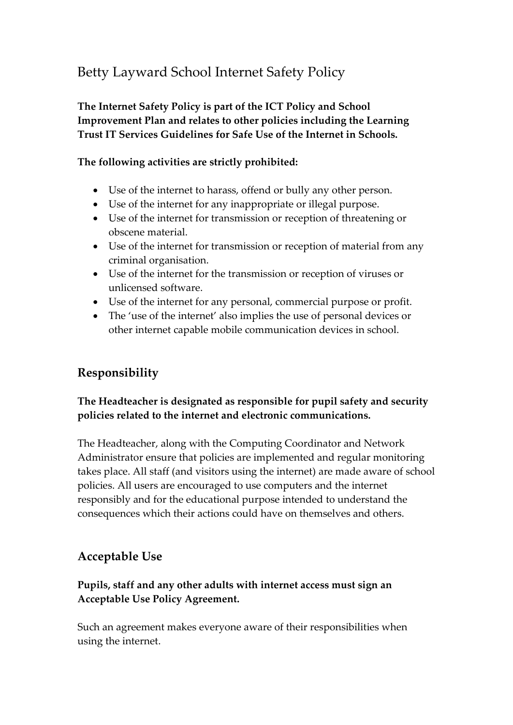# Betty Layward School Internet Safety Policy

**The Internet Safety Policy is part of the ICT Policy and School Improvement Plan and relates to other policies including the Learning Trust IT Services Guidelines for Safe Use of the Internet in Schools.**

#### **The following activities are strictly prohibited:**

- Use of the internet to harass, offend or bully any other person.
- Use of the internet for any inappropriate or illegal purpose.
- Use of the internet for transmission or reception of threatening or obscene material.
- Use of the internet for transmission or reception of material from any criminal organisation.
- Use of the internet for the transmission or reception of viruses or unlicensed software.
- Use of the internet for any personal, commercial purpose or profit.
- The 'use of the internet' also implies the use of personal devices or other internet capable mobile communication devices in school.

## **Responsibility**

#### **The Headteacher is designated as responsible for pupil safety and security policies related to the internet and electronic communications.**

The Headteacher, along with the Computing Coordinator and Network Administrator ensure that policies are implemented and regular monitoring takes place. All staff (and visitors using the internet) are made aware of school policies. All users are encouraged to use computers and the internet responsibly and for the educational purpose intended to understand the consequences which their actions could have on themselves and others.

### **Acceptable Use**

#### **Pupils, staff and any other adults with internet access must sign an Acceptable Use Policy Agreement.**

Such an agreement makes everyone aware of their responsibilities when using the internet.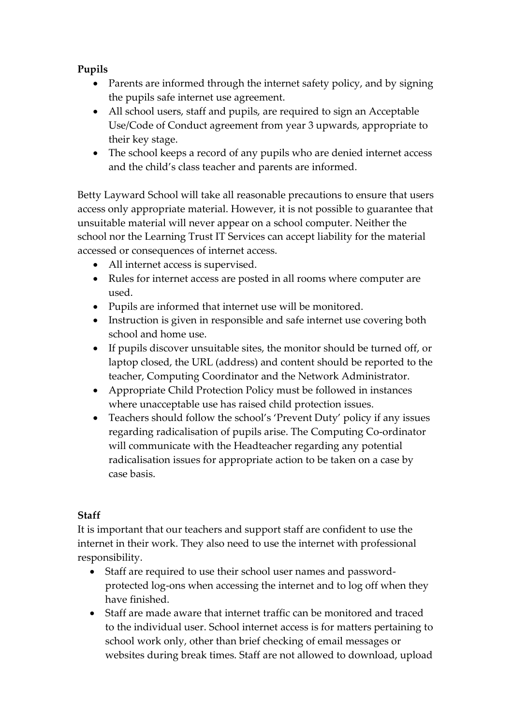#### **Pupils**

- Parents are informed through the internet safety policy, and by signing the pupils safe internet use agreement.
- All school users, staff and pupils, are required to sign an Acceptable Use/Code of Conduct agreement from year 3 upwards, appropriate to their key stage.
- The school keeps a record of any pupils who are denied internet access and the child's class teacher and parents are informed.

Betty Layward School will take all reasonable precautions to ensure that users access only appropriate material. However, it is not possible to guarantee that unsuitable material will never appear on a school computer. Neither the school nor the Learning Trust IT Services can accept liability for the material accessed or consequences of internet access.

- All internet access is supervised.
- Rules for internet access are posted in all rooms where computer are used.
- Pupils are informed that internet use will be monitored.
- Instruction is given in responsible and safe internet use covering both school and home use.
- If pupils discover unsuitable sites, the monitor should be turned off, or laptop closed, the URL (address) and content should be reported to the teacher, Computing Coordinator and the Network Administrator.
- Appropriate Child Protection Policy must be followed in instances where unacceptable use has raised child protection issues.
- Teachers should follow the school's 'Prevent Duty' policy if any issues regarding radicalisation of pupils arise. The Computing Co-ordinator will communicate with the Headteacher regarding any potential radicalisation issues for appropriate action to be taken on a case by case basis.

#### **Staff**

It is important that our teachers and support staff are confident to use the internet in their work. They also need to use the internet with professional responsibility.

- Staff are required to use their school user names and passwordprotected log-ons when accessing the internet and to log off when they have finished.
- Staff are made aware that internet traffic can be monitored and traced to the individual user. School internet access is for matters pertaining to school work only, other than brief checking of email messages or websites during break times. Staff are not allowed to download, upload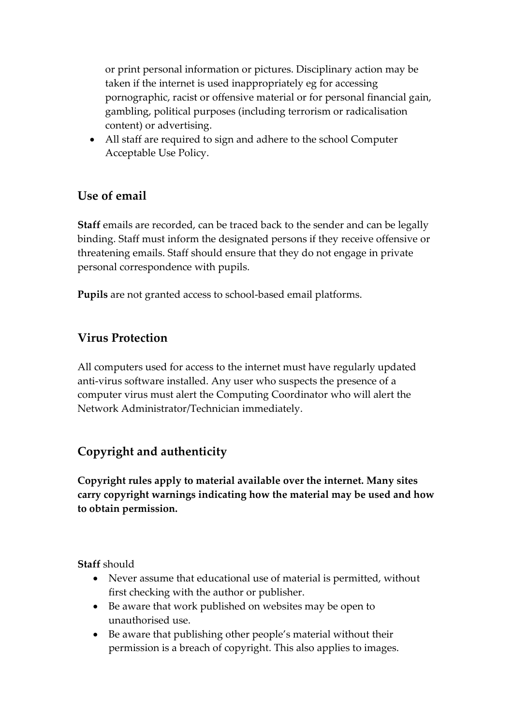or print personal information or pictures. Disciplinary action may be taken if the internet is used inappropriately eg for accessing pornographic, racist or offensive material or for personal financial gain, gambling, political purposes (including terrorism or radicalisation content) or advertising.

 All staff are required to sign and adhere to the school Computer Acceptable Use Policy.

### **Use of email**

**Staff** emails are recorded, can be traced back to the sender and can be legally binding. Staff must inform the designated persons if they receive offensive or threatening emails. Staff should ensure that they do not engage in private personal correspondence with pupils.

**Pupils** are not granted access to school-based email platforms.

## **Virus Protection**

All computers used for access to the internet must have regularly updated anti-virus software installed. Any user who suspects the presence of a computer virus must alert the Computing Coordinator who will alert the Network Administrator/Technician immediately.

# **Copyright and authenticity**

**Copyright rules apply to material available over the internet. Many sites carry copyright warnings indicating how the material may be used and how to obtain permission.**

**Staff** should

- Never assume that educational use of material is permitted, without first checking with the author or publisher.
- Be aware that work published on websites may be open to unauthorised use.
- Be aware that publishing other people's material without their permission is a breach of copyright. This also applies to images.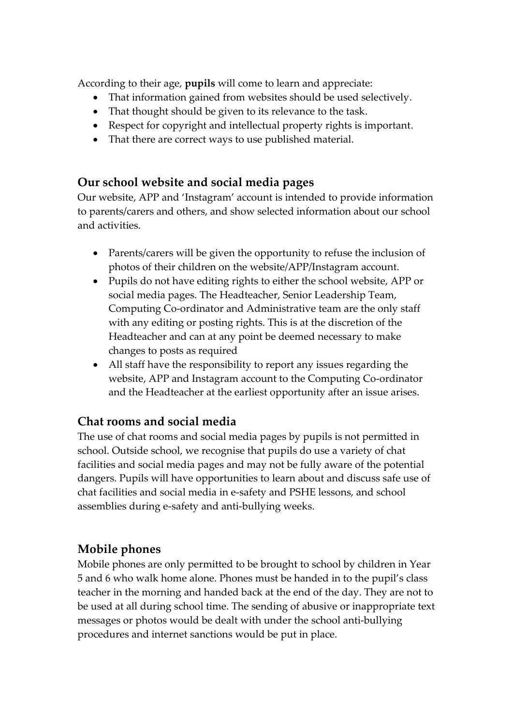According to their age, **pupils** will come to learn and appreciate:

- That information gained from websites should be used selectively.
- That thought should be given to its relevance to the task.
- Respect for copyright and intellectual property rights is important.
- That there are correct ways to use published material.

## **Our school website and social media pages**

Our website, APP and 'Instagram' account is intended to provide information to parents/carers and others, and show selected information about our school and activities.

- Parents/carers will be given the opportunity to refuse the inclusion of photos of their children on the website/APP/Instagram account.
- Pupils do not have editing rights to either the school website, APP or social media pages. The Headteacher, Senior Leadership Team, Computing Co-ordinator and Administrative team are the only staff with any editing or posting rights. This is at the discretion of the Headteacher and can at any point be deemed necessary to make changes to posts as required
- All staff have the responsibility to report any issues regarding the website, APP and Instagram account to the Computing Co-ordinator and the Headteacher at the earliest opportunity after an issue arises.

# **Chat rooms and social media**

The use of chat rooms and social media pages by pupils is not permitted in school. Outside school, we recognise that pupils do use a variety of chat facilities and social media pages and may not be fully aware of the potential dangers. Pupils will have opportunities to learn about and discuss safe use of chat facilities and social media in e-safety and PSHE lessons, and school assemblies during e-safety and anti-bullying weeks.

# **Mobile phones**

Mobile phones are only permitted to be brought to school by children in Year 5 and 6 who walk home alone. Phones must be handed in to the pupil's class teacher in the morning and handed back at the end of the day. They are not to be used at all during school time. The sending of abusive or inappropriate text messages or photos would be dealt with under the school anti-bullying procedures and internet sanctions would be put in place.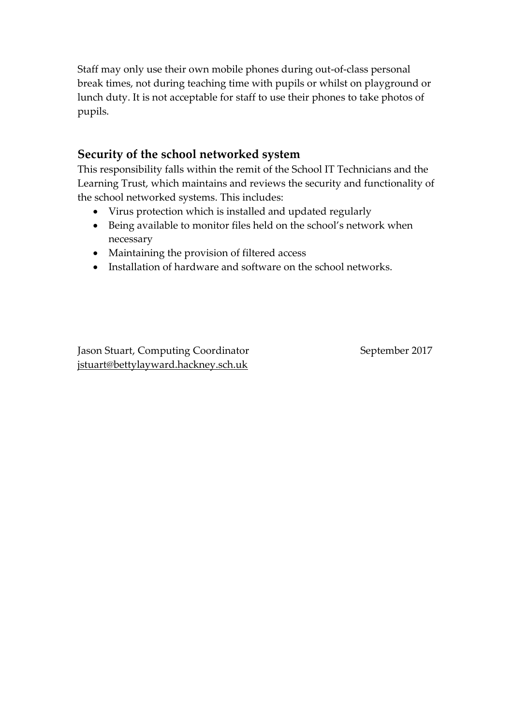Staff may only use their own mobile phones during out-of-class personal break times, not during teaching time with pupils or whilst on playground or lunch duty. It is not acceptable for staff to use their phones to take photos of pupils.

### **Security of the school networked system**

This responsibility falls within the remit of the School IT Technicians and the Learning Trust, which maintains and reviews the security and functionality of the school networked systems. This includes:

- Virus protection which is installed and updated regularly
- Being available to monitor files held on the school's network when necessary
- Maintaining the provision of filtered access
- Installation of hardware and software on the school networks.

Jason Stuart, Computing Coordinator September 2017 [jstuart@bettylayward.hackney.sch.uk](mailto:jstuart@bettylayward.hackney.sch.uk)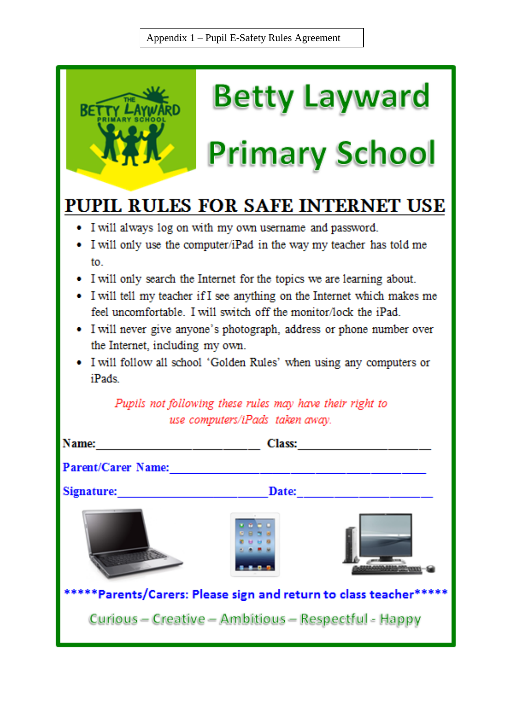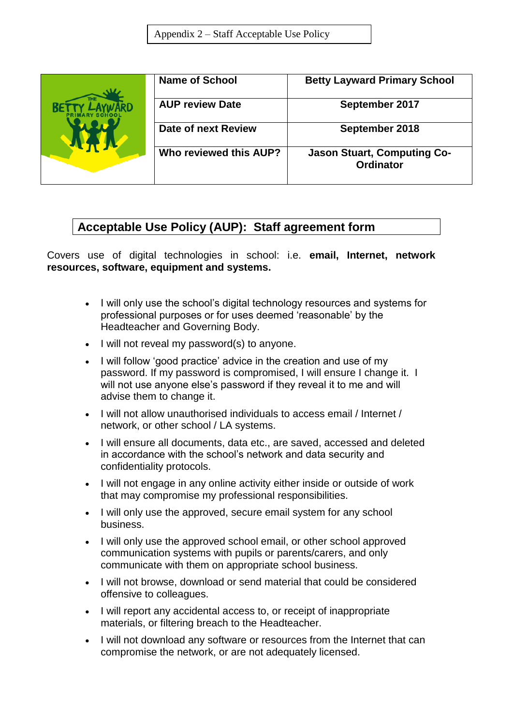|  | <b>Name of School</b>  | <b>Betty Layward Primary School</b>             |
|--|------------------------|-------------------------------------------------|
|  | <b>AUP review Date</b> | September 2017                                  |
|  | Date of next Review    | September 2018                                  |
|  | Who reviewed this AUP? | <b>Jason Stuart, Computing Co-</b><br>Ordinator |

## **Acceptable Use Policy (AUP): Staff agreement form**

Covers use of digital technologies in school: i.e. **email, Internet, network resources, software, equipment and systems.**

- I will only use the school's digital technology resources and systems for professional purposes or for uses deemed 'reasonable' by the Headteacher and Governing Body.
- I will not reveal my password(s) to anyone.
- I will follow 'good practice' advice in the creation and use of my password. If my password is compromised, I will ensure I change it. I will not use anyone else's password if they reveal it to me and will advise them to change it.
- I will not allow unauthorised individuals to access email / Internet / network, or other school / LA systems.
- I will ensure all documents, data etc., are saved, accessed and deleted in accordance with the school's network and data security and confidentiality protocols.
- I will not engage in any online activity either inside or outside of work that may compromise my professional responsibilities.
- I will only use the approved, secure email system for any school business.
- I will only use the approved school email, or other school approved communication systems with pupils or parents/carers, and only communicate with them on appropriate school business.
- I will not browse, download or send material that could be considered offensive to colleagues.
- I will report any accidental access to, or receipt of inappropriate materials, or filtering breach to the Headteacher.
- I will not download any software or resources from the Internet that can compromise the network, or are not adequately licensed.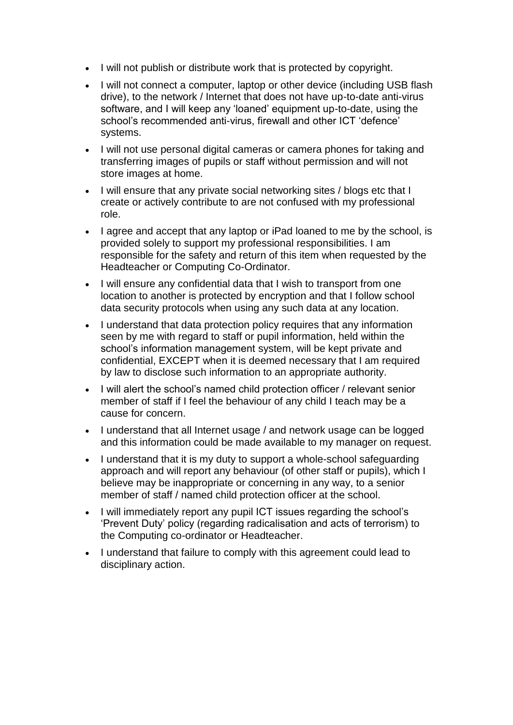- I will not publish or distribute work that is protected by copyright.
- I will not connect a computer, laptop or other device (including USB flash drive), to the network / Internet that does not have up-to-date anti-virus software, and I will keep any 'loaned' equipment up-to-date, using the school's recommended anti-virus, firewall and other ICT 'defence' systems.
- I will not use personal digital cameras or camera phones for taking and transferring images of pupils or staff without permission and will not store images at home.
- I will ensure that any private social networking sites / blogs etc that I create or actively contribute to are not confused with my professional role.
- I agree and accept that any laptop or iPad loaned to me by the school, is provided solely to support my professional responsibilities. I am responsible for the safety and return of this item when requested by the Headteacher or Computing Co-Ordinator.
- I will ensure any confidential data that I wish to transport from one location to another is protected by encryption and that I follow school data security protocols when using any such data at any location.
- I understand that data protection policy requires that any information seen by me with regard to staff or pupil information, held within the school's information management system, will be kept private and confidential, EXCEPT when it is deemed necessary that I am required by law to disclose such information to an appropriate authority.
- I will alert the school's named child protection officer / relevant senior member of staff if I feel the behaviour of any child I teach may be a cause for concern.
- I understand that all Internet usage / and network usage can be logged and this information could be made available to my manager on request.
- I understand that it is my duty to support a whole-school safeguarding approach and will report any behaviour (of other staff or pupils), which I believe may be inappropriate or concerning in any way, to a senior member of staff / named child protection officer at the school.
- I will immediately report any pupil ICT issues regarding the school's 'Prevent Duty' policy (regarding radicalisation and acts of terrorism) to the Computing co-ordinator or Headteacher.
- I understand that failure to comply with this agreement could lead to disciplinary action.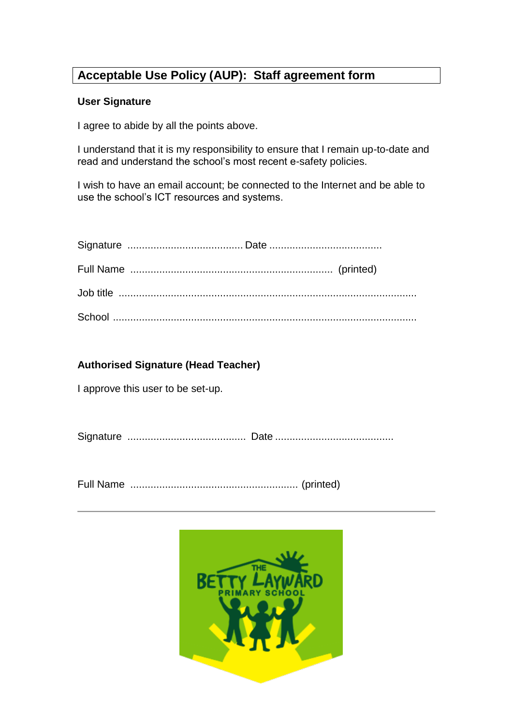# **Acceptable Use Policy (AUP): Staff agreement form**

#### **User Signature**

I agree to abide by all the points above.

I understand that it is my responsibility to ensure that I remain up-to-date and read and understand the school's most recent e-safety policies.

I wish to have an email account; be connected to the Internet and be able to use the school's ICT resources and systems.

#### **Authorised Signature (Head Teacher)**

I approve this user to be set-up.

Signature ......................................... Date .........................................

Full Name .......................................................... (printed)